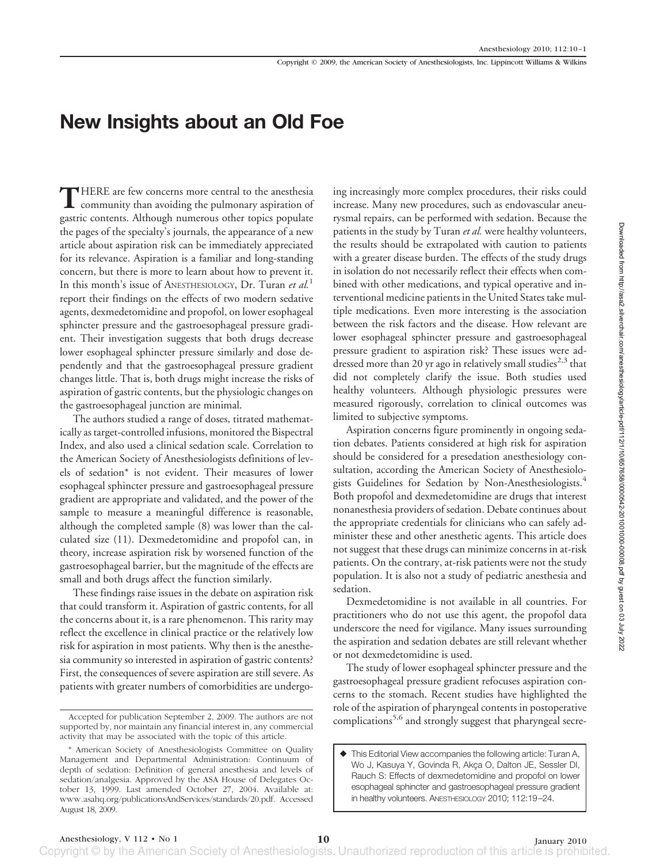## **New Insights about an Old Foe**

**T**HERE are few concerns more central to the anesthesia community than avoiding the pulmonary aspiration of gastric contents. Although numerous other topics populate the pages of the specialty's journals, the appearance of a new article about aspiration risk can be immediately appreciated for its relevance. Aspiration is a familiar and long-standing concern, but there is more to learn about how to prevent it. In this month's issue of ANESTHESIOLOGY, Dr. Turan *et al.*<sup>1</sup> report their findings on the effects of two modern sedative agents, dexmedetomidine and propofol, on lower esophageal sphincter pressure and the gastroesophageal pressure gradient. Their investigation suggests that both drugs decrease lower esophageal sphincter pressure similarly and dose dependently and that the gastroesophageal pressure gradient changes little. That is, both drugs might increase the risks of aspiration of gastric contents, but the physiologic changes on the gastroesophageal junction are minimal.

The authors studied a range of doses, titrated mathematically as target-controlled infusions, monitored the Bispectral Index, and also used a clinical sedation scale. Correlation to the American Society of Anesthesiologists definitions of levels of sedation\* is not evident. Their measures of lower esophageal sphincter pressure and gastroesophageal pressure gradient are appropriate and validated, and the power of the sample to measure a meaningful difference is reasonable, although the completed sample (8) was lower than the calculated size (11). Dexmedetomidine and propofol can, in theory, increase aspiration risk by worsened function of the gastroesophageal barrier, but the magnitude of the effects are small and both drugs affect the function similarly.

These findings raise issues in the debate on aspiration risk that could transform it. Aspiration of gastric contents, for all the concerns about it, is a rare phenomenon. This rarity may reflect the excellence in clinical practice or the relatively low risk for aspiration in most patients. Why then is the anesthesia community so interested in aspiration of gastric contents? First, the consequences of severe aspiration are still severe. As patients with greater numbers of comorbidities are undergoing increasingly more complex procedures, their risks could increase. Many new procedures, such as endovascular aneurysmal repairs, can be performed with sedation. Because the patients in the study by Turan *et al.* were healthy volunteers, the results should be extrapolated with caution to patients with a greater disease burden. The effects of the study drugs in isolation do not necessarily reflect their effects when combined with other medications, and typical operative and interventional medicine patients in the United States take multiple medications. Even more interesting is the association between the risk factors and the disease. How relevant are lower esophageal sphincter pressure and gastroesophageal pressure gradient to aspiration risk? These issues were addressed more than 20 yr ago in relatively small studies<sup>2,3</sup> that did not completely clarify the issue. Both studies used healthy volunteers. Although physiologic pressures were measured rigorously, correlation to clinical outcomes was limited to subjective symptoms.

Aspiration concerns figure prominently in ongoing sedation debates. Patients considered at high risk for aspiration should be considered for a presedation anesthesiology consultation, according the American Society of Anesthesiologists Guidelines for Sedation by Non-Anesthesiologists.<sup>4</sup> Both propofol and dexmedetomidine are drugs that interest nonanesthesia providers of sedation. Debate continues about the appropriate credentials for clinicians who can safely administer these and other anesthetic agents. This article does not suggest that these drugs can minimize concerns in at-risk patients. On the contrary, at-risk patients were not the study population. It is also not a study of pediatric anesthesia and sedation.

Dexmedetomidine is not available in all countries. For practitioners who do not use this agent, the propofol data underscore the need for vigilance. Many issues surrounding the aspiration and sedation debates are still relevant whether or not dexmedetomidine is used.

The study of lower esophageal sphincter pressure and the gastroesophageal pressure gradient refocuses aspiration concerns to the stomach. Recent studies have highlighted the role of the aspiration of pharyngeal contents in postoperative Accepted for publication September 2, 2009. The authors are not<br>complications<sup>5,6</sup> and strongly suggest that pharyngeal secre-

supported by, nor maintain any financial interest in, any commercial activity that may be associated with the topic of this article.

<sup>\*</sup> American Society of Anesthesiologists Committee on Quality Management and Departmental Administration: Continuum of depth of sedation: Definition of general anesthesia and levels of sedation/analgesia. Approved by the ASA House of Delegates October 13, 1999. Last amended October 27, 2004. Available at: www.asahq.org/publicationsAndServices/standards/20.pdf. Accessed August 18, 2009.

This Editorial View accompanies the following article: Turan A, Wo J, Kasuya Y, Govinda R, Akça O, Dalton JE, Sessler DI, Rauch S: Effects of dexmedetomidine and propofol on lower esophageal sphincter and gastroesophageal pressure gradient in healthy volunteers. ANESTHESIOLOGY 2010; 112:19 –24.